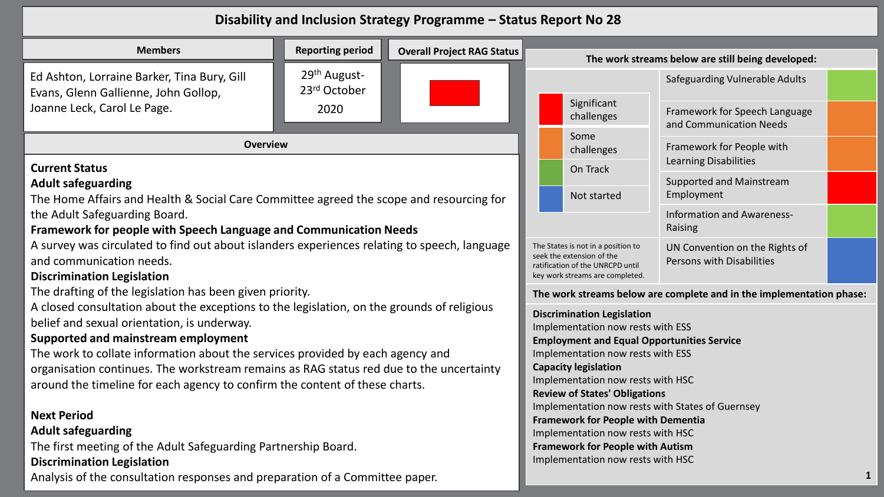## **Disability and Inclusion Strategy Programme – Status Report No 28**

| <b>Members</b>                                                                                                                                                                   | <b>Reporting period</b>                  | <b>Overall Project RAG Status</b> |  |                                                                                                                                        | The work streams below are still being developed:                    |  |
|----------------------------------------------------------------------------------------------------------------------------------------------------------------------------------|------------------------------------------|-----------------------------------|--|----------------------------------------------------------------------------------------------------------------------------------------|----------------------------------------------------------------------|--|
| Ed Ashton, Lorraine Barker, Tina Bury, Gill<br>Evans, Glenn Gallienne, John Gollop,                                                                                              | 29 <sup>th</sup> August-<br>23rd October |                                   |  |                                                                                                                                        | Safeguarding Vulnerable Adults                                       |  |
| Joanne Leck, Carol Le Page.                                                                                                                                                      | 2020                                     |                                   |  | Significant<br>challenges                                                                                                              | Framework for Speech Language<br>and Communication Needs             |  |
| <b>Overview</b>                                                                                                                                                                  |                                          |                                   |  | Some<br>challenges                                                                                                                     | Framework for People with                                            |  |
| <b>Current Status</b>                                                                                                                                                            |                                          |                                   |  | On Track                                                                                                                               | <b>Learning Disabilities</b>                                         |  |
| <b>Adult safeguarding</b><br>The Home Affairs and Health & Social Care Committee agreed the scope and resourcing for                                                             |                                          |                                   |  | Not started                                                                                                                            | Supported and Mainstream<br>Employment                               |  |
| the Adult Safeguarding Board.<br>Framework for people with Speech Language and Communication Needs                                                                               |                                          |                                   |  |                                                                                                                                        | Information and Awareness-<br>Raising                                |  |
| A survey was circulated to find out about islanders experiences relating to speech, language<br>and communication needs.<br><b>Discrimination Legislation</b>                    |                                          |                                   |  | The States is not in a position to<br>seek the extension of the<br>ratification of the UNRCPD until<br>key work streams are completed. | UN Convention on the Rights of<br>Persons with Disabilities          |  |
| The drafting of the legislation has been given priority.                                                                                                                         |                                          |                                   |  |                                                                                                                                        | The work streams below are complete and in the implementation phase: |  |
| A closed consultation about the exceptions to the legislation, on the grounds of religious<br>belief and sexual orientation, is underway.<br>Supported and mainstream employment |                                          |                                   |  | <b>Discrimination Legislation</b><br>Implementation now rests with ESS<br><b>Employment and Equal Opportunities Service</b>            |                                                                      |  |
| The work to collate information about the services provided by each agency and                                                                                                   |                                          |                                   |  | Implementation now rests with ESS                                                                                                      |                                                                      |  |
| organisation continues. The workstream remains as RAG status red due to the uncertainty<br>around the timeline for each agency to confirm the content of these charts.           |                                          |                                   |  | <b>Capacity legislation</b><br>Implementation now rests with HSC                                                                       |                                                                      |  |
|                                                                                                                                                                                  |                                          |                                   |  | <b>Review of States' Obligations</b>                                                                                                   |                                                                      |  |
| <b>Next Period</b>                                                                                                                                                               |                                          |                                   |  | <b>Framework for People with Dementia</b>                                                                                              | Implementation now rests with States of Guernsey                     |  |
| <b>Adult safeguarding</b>                                                                                                                                                        |                                          |                                   |  | Implementation now rests with HSC                                                                                                      |                                                                      |  |
| The first meeting of the Adult Safeguarding Partnership Board.                                                                                                                   |                                          |                                   |  | <b>Framework for People with Autism</b>                                                                                                |                                                                      |  |
| <b>Discrimination Legislation</b>                                                                                                                                                |                                          |                                   |  | Implementation now rests with HSC                                                                                                      |                                                                      |  |
| Analysis of the consultation responses and preparation of a Committee paper.                                                                                                     |                                          |                                   |  |                                                                                                                                        |                                                                      |  |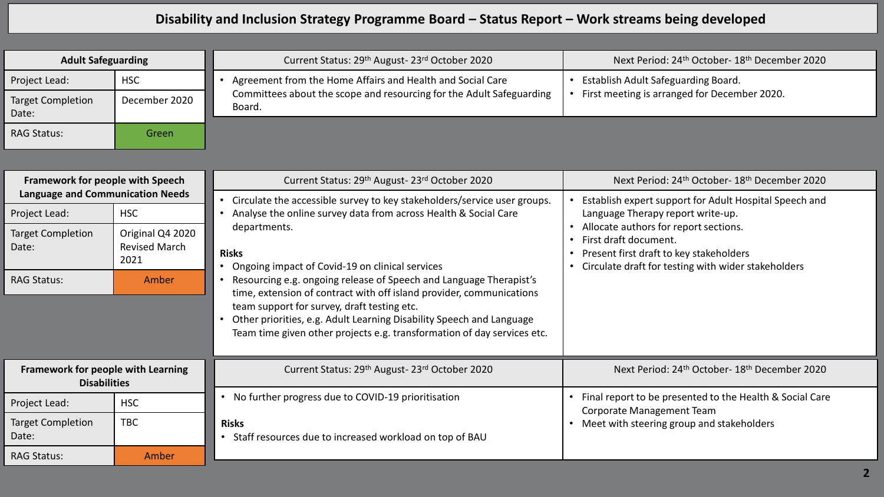## **Disability and Inclusion Strategy Programme Board – Status Report – Work streams being developed**

| <b>Adult Safeguarding</b>         |               | Current Status: 29 <sup>th</sup> August-23 <sup>rd</sup> October 2020          | Next Period: 24 <sup>th</sup> October- 18 <sup>th</sup> December 2020 |
|-----------------------------------|---------------|--------------------------------------------------------------------------------|-----------------------------------------------------------------------|
| Project Lead:                     | <b>HSC</b>    | Agreement from the Home Affairs and Health and Social Care                     | Establish Adult Safeguarding Board.                                   |
| <b>Target Completion</b><br>Date: | December 2020 | Committees about the scope and resourcing for the Adult Safeguarding<br>Board. | First meeting is arranged for December 2020.                          |
| <b>RAG Status:</b>                | Green         |                                                                                |                                                                       |

| Framework for people with Speech                                                     |                                | Current Status: 29 <sup>th</sup> August-23 <sup>rd</sup> October 2020                                                                                                                                                                                                                                                                                                                             | Next Period: 24 <sup>th</sup> October- 18 <sup>th</sup> December 2020                                                                                         |
|--------------------------------------------------------------------------------------|--------------------------------|---------------------------------------------------------------------------------------------------------------------------------------------------------------------------------------------------------------------------------------------------------------------------------------------------------------------------------------------------------------------------------------------------|---------------------------------------------------------------------------------------------------------------------------------------------------------------|
| <b>Language and Communication Needs</b><br>Project Lead:<br><b>Target Completion</b> | <b>HSC</b><br>Original Q4 2020 | • Circulate the accessible survey to key stakeholders/service user groups.<br>Analyse the online survey data from across Health & Social Care<br>departments.                                                                                                                                                                                                                                     | Establish expert support for Adult Hospital Speech and<br>Language Therapy report write-up.<br>Allocate authors for report sections.<br>First draft document. |
| Date:                                                                                | <b>Revised March</b><br>2021   | <b>Risks</b>                                                                                                                                                                                                                                                                                                                                                                                      | Present first draft to key stakeholders<br>Circulate draft for testing with wider stakeholders                                                                |
| <b>RAG Status:</b>                                                                   | Amber                          | • Ongoing impact of Covid-19 on clinical services<br>Resourcing e.g. ongoing release of Speech and Language Therapist's<br>time, extension of contract with off island provider, communications<br>team support for survey, draft testing etc.<br>Other priorities, e.g. Adult Learning Disability Speech and Language<br>Team time given other projects e.g. transformation of day services etc. |                                                                                                                                                               |
| <b>Framework for people with Learning</b><br><b>Disabilities</b>                     |                                | Current Status: 29 <sup>th</sup> August-23 <sup>rd</sup> October 2020                                                                                                                                                                                                                                                                                                                             | Next Period: 24 <sup>th</sup> October- 18 <sup>th</sup> December 2020                                                                                         |
| Project Lead:                                                                        | <b>HSC</b>                     | No further progress due to COVID-19 prioritisation                                                                                                                                                                                                                                                                                                                                                | Final report to be presented to the Health & Social Care<br>Corporate Management Team                                                                         |
| <b>Target Completion</b><br>Date:                                                    | <b>TBC</b>                     | <b>Risks</b><br>Staff resources due to increased workload on top of BAU<br>$\bullet$                                                                                                                                                                                                                                                                                                              | Meet with steering group and stakeholders                                                                                                                     |
| <b>RAG Status:</b>                                                                   | Amber                          |                                                                                                                                                                                                                                                                                                                                                                                                   |                                                                                                                                                               |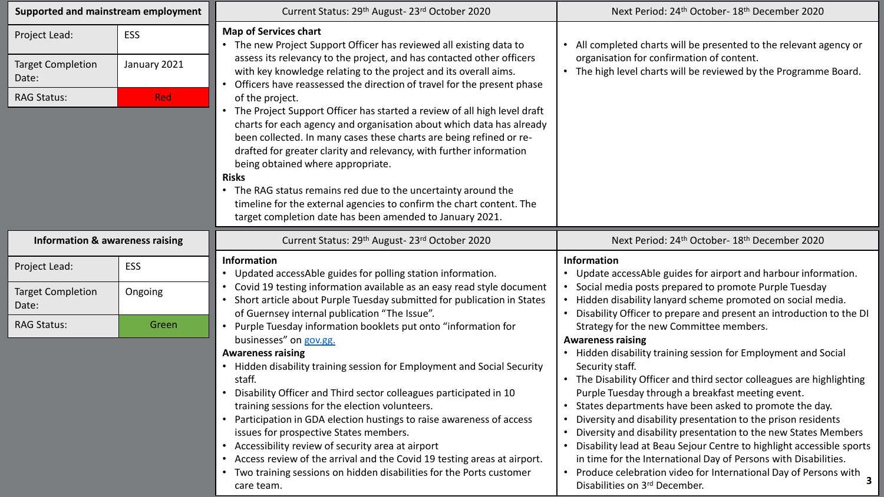|                                                                          | Supported and mainstream employment | Current Status: 29th August-23rd October 2020                                                                                                                                                                                                                                                                                                                                                                                                                                                                                                                                                                                                                                                                                                                                                                                                                                                                           | Next Period: 24 <sup>th</sup> October- 18 <sup>th</sup> December 2020                                                                                                               |
|--------------------------------------------------------------------------|-------------------------------------|-------------------------------------------------------------------------------------------------------------------------------------------------------------------------------------------------------------------------------------------------------------------------------------------------------------------------------------------------------------------------------------------------------------------------------------------------------------------------------------------------------------------------------------------------------------------------------------------------------------------------------------------------------------------------------------------------------------------------------------------------------------------------------------------------------------------------------------------------------------------------------------------------------------------------|-------------------------------------------------------------------------------------------------------------------------------------------------------------------------------------|
| Project Lead:<br><b>Target Completion</b><br>Date:<br><b>RAG Status:</b> | ESS<br>January 2021<br><b>Red</b>   | <b>Map of Services chart</b><br>• The new Project Support Officer has reviewed all existing data to<br>assess its relevancy to the project, and has contacted other officers<br>with key knowledge relating to the project and its overall aims.<br>Officers have reassessed the direction of travel for the present phase<br>of the project.<br>The Project Support Officer has started a review of all high level draft<br>$\bullet$<br>charts for each agency and organisation about which data has already<br>been collected. In many cases these charts are being refined or re-<br>drafted for greater clarity and relevancy, with further information<br>being obtained where appropriate.<br><b>Risks</b><br>• The RAG status remains red due to the uncertainty around the<br>timeline for the external agencies to confirm the chart content. The<br>target completion date has been amended to January 2021. | • All completed charts will be presented to the relevant agency or<br>organisation for confirmation of content.<br>• The high level charts will be reviewed by the Programme Board. |
| <b>Information &amp; awareness raising</b>                               |                                     | Current Status: 29 <sup>th</sup> August-23 <sup>rd</sup> October 2020                                                                                                                                                                                                                                                                                                                                                                                                                                                                                                                                                                                                                                                                                                                                                                                                                                                   | Next Period: 24 <sup>th</sup> October- 18 <sup>th</sup> December 2020                                                                                                               |
| Project Lead:                                                            | <b>ESS</b>                          | <b>Information</b><br>• Updated accessAble guides for polling station information.                                                                                                                                                                                                                                                                                                                                                                                                                                                                                                                                                                                                                                                                                                                                                                                                                                      | <b>Information</b><br>• Update accessAble guides for airport and harbour information.                                                                                               |
|                                                                          |                                     | Covid 19 testing information available as an easy read style document<br>Short article about Purple Tuesday submitted for publication in States                                                                                                                                                                                                                                                                                                                                                                                                                                                                                                                                                                                                                                                                                                                                                                         |                                                                                                                                                                                     |
| <b>Target Completion</b><br>Date:                                        | Ongoing                             |                                                                                                                                                                                                                                                                                                                                                                                                                                                                                                                                                                                                                                                                                                                                                                                                                                                                                                                         | Social media posts prepared to promote Purple Tuesday<br>Hidden disability lanyard scheme promoted on social media.                                                                 |
| <b>RAG Status:</b>                                                       | Green                               | of Guernsey internal publication "The Issue".<br>• Purple Tuesday information booklets put onto "information for<br>businesses" on gov.gg.                                                                                                                                                                                                                                                                                                                                                                                                                                                                                                                                                                                                                                                                                                                                                                              | Disability Officer to prepare and present an introduction to the DI<br>Strategy for the new Committee members.<br><b>Awareness raising</b>                                          |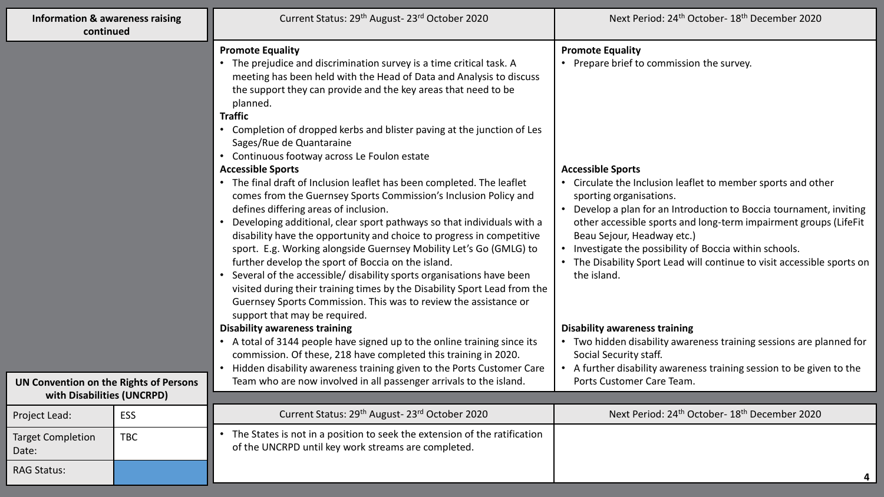| <b>Information &amp; awareness raising</b><br>continued              |            | Current Status: 29th August-23rd October 2020                                                                                                                                                                                                                                                                                                                                                                                                                                                                                                                                                                                                                                                                                                                                                                                                                                                                                                                                                                                                                                                                                                                                           | Next Period: 24 <sup>th</sup> October- 18 <sup>th</sup> December 2020                                                                                                                                                                                                                                                                                                                                                                                                                                                     |
|----------------------------------------------------------------------|------------|-----------------------------------------------------------------------------------------------------------------------------------------------------------------------------------------------------------------------------------------------------------------------------------------------------------------------------------------------------------------------------------------------------------------------------------------------------------------------------------------------------------------------------------------------------------------------------------------------------------------------------------------------------------------------------------------------------------------------------------------------------------------------------------------------------------------------------------------------------------------------------------------------------------------------------------------------------------------------------------------------------------------------------------------------------------------------------------------------------------------------------------------------------------------------------------------|---------------------------------------------------------------------------------------------------------------------------------------------------------------------------------------------------------------------------------------------------------------------------------------------------------------------------------------------------------------------------------------------------------------------------------------------------------------------------------------------------------------------------|
|                                                                      |            | <b>Promote Equality</b><br>The prejudice and discrimination survey is a time critical task. A<br>meeting has been held with the Head of Data and Analysis to discuss<br>the support they can provide and the key areas that need to be<br>planned.<br><b>Traffic</b><br>• Completion of dropped kerbs and blister paving at the junction of Les<br>Sages/Rue de Quantaraine<br>• Continuous footway across Le Foulon estate<br><b>Accessible Sports</b><br>• The final draft of Inclusion leaflet has been completed. The leaflet<br>comes from the Guernsey Sports Commission's Inclusion Policy and<br>defines differing areas of inclusion.<br>Developing additional, clear sport pathways so that individuals with a<br>disability have the opportunity and choice to progress in competitive<br>sport. E.g. Working alongside Guernsey Mobility Let's Go (GMLG) to<br>further develop the sport of Boccia on the island.<br>Several of the accessible/ disability sports organisations have been<br>visited during their training times by the Disability Sport Lead from the<br>Guernsey Sports Commission. This was to review the assistance or<br>support that may be required. | <b>Promote Equality</b><br>• Prepare brief to commission the survey.<br><b>Accessible Sports</b><br>• Circulate the Inclusion leaflet to member sports and other<br>sporting organisations.<br>• Develop a plan for an Introduction to Boccia tournament, inviting<br>other accessible sports and long-term impairment groups (LifeFit<br>Beau Sejour, Headway etc.)<br>• Investigate the possibility of Boccia within schools.<br>• The Disability Sport Lead will continue to visit accessible sports on<br>the island. |
|                                                                      |            | <b>Disability awareness training</b><br>• A total of 3144 people have signed up to the online training since its<br>commission. Of these, 218 have completed this training in 2020.<br>Hidden disability awareness training given to the Ports Customer Care                                                                                                                                                                                                                                                                                                                                                                                                                                                                                                                                                                                                                                                                                                                                                                                                                                                                                                                            | <b>Disability awareness training</b><br>• Two hidden disability awareness training sessions are planned for<br>Social Security staff.<br>• A further disability awareness training session to be given to the                                                                                                                                                                                                                                                                                                             |
| UN Convention on the Rights of Persons<br>with Disabilities (UNCRPD) |            | Team who are now involved in all passenger arrivals to the island.                                                                                                                                                                                                                                                                                                                                                                                                                                                                                                                                                                                                                                                                                                                                                                                                                                                                                                                                                                                                                                                                                                                      | Ports Customer Care Team.                                                                                                                                                                                                                                                                                                                                                                                                                                                                                                 |
| Project Lead:                                                        | <b>ESS</b> | Current Status: 29th August-23rd October 2020                                                                                                                                                                                                                                                                                                                                                                                                                                                                                                                                                                                                                                                                                                                                                                                                                                                                                                                                                                                                                                                                                                                                           | Next Period: 24 <sup>th</sup> October- 18 <sup>th</sup> December 2020                                                                                                                                                                                                                                                                                                                                                                                                                                                     |
| <b>Target Completion</b><br>Date:                                    | <b>TBC</b> | The States is not in a position to seek the extension of the ratification<br>of the UNCRPD until key work streams are completed.                                                                                                                                                                                                                                                                                                                                                                                                                                                                                                                                                                                                                                                                                                                                                                                                                                                                                                                                                                                                                                                        |                                                                                                                                                                                                                                                                                                                                                                                                                                                                                                                           |
| <b>RAG Status:</b>                                                   |            |                                                                                                                                                                                                                                                                                                                                                                                                                                                                                                                                                                                                                                                                                                                                                                                                                                                                                                                                                                                                                                                                                                                                                                                         | 4                                                                                                                                                                                                                                                                                                                                                                                                                                                                                                                         |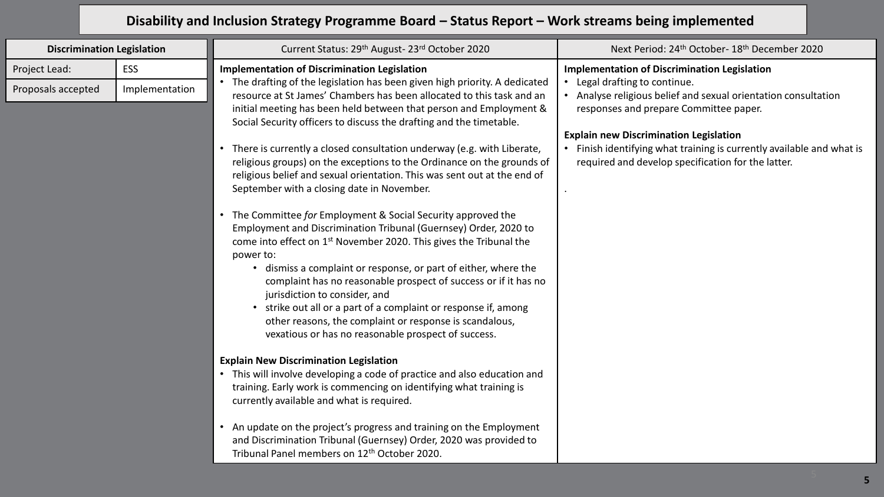## **Disability and Inclusion Strategy Programme Board – Status Report – Work streams being implemented**

| <b>Discrimination Legislation</b>   |                              | Current Status: 29th August-23rd October 2020                                                                                                                                                                                                                                                                                                                                                                                                                                                                                                                                                                                                                                                                                                                                                                                                                                                                                                                                                                                                                                                                                                                                                                                                                                                                                                                                                                                                                                                                                                                                                                                                                                                  | Next Period: 24 <sup>th</sup> October- 18 <sup>th</sup> December 2020                                                                                                                                                                                                                                                                                                          |
|-------------------------------------|------------------------------|------------------------------------------------------------------------------------------------------------------------------------------------------------------------------------------------------------------------------------------------------------------------------------------------------------------------------------------------------------------------------------------------------------------------------------------------------------------------------------------------------------------------------------------------------------------------------------------------------------------------------------------------------------------------------------------------------------------------------------------------------------------------------------------------------------------------------------------------------------------------------------------------------------------------------------------------------------------------------------------------------------------------------------------------------------------------------------------------------------------------------------------------------------------------------------------------------------------------------------------------------------------------------------------------------------------------------------------------------------------------------------------------------------------------------------------------------------------------------------------------------------------------------------------------------------------------------------------------------------------------------------------------------------------------------------------------|--------------------------------------------------------------------------------------------------------------------------------------------------------------------------------------------------------------------------------------------------------------------------------------------------------------------------------------------------------------------------------|
| Project Lead:<br>Proposals accepted | <b>ESS</b><br>Implementation | <b>Implementation of Discrimination Legislation</b><br>• The drafting of the legislation has been given high priority. A dedicated<br>resource at St James' Chambers has been allocated to this task and an<br>initial meeting has been held between that person and Employment &<br>Social Security officers to discuss the drafting and the timetable.<br>There is currently a closed consultation underway (e.g. with Liberate,<br>religious groups) on the exceptions to the Ordinance on the grounds of<br>religious belief and sexual orientation. This was sent out at the end of<br>September with a closing date in November.<br>• The Committee for Employment & Social Security approved the<br>Employment and Discrimination Tribunal (Guernsey) Order, 2020 to<br>come into effect on 1 <sup>st</sup> November 2020. This gives the Tribunal the<br>power to:<br>• dismiss a complaint or response, or part of either, where the<br>complaint has no reasonable prospect of success or if it has no<br>jurisdiction to consider, and<br>• strike out all or a part of a complaint or response if, among<br>other reasons, the complaint or response is scandalous,<br>vexatious or has no reasonable prospect of success.<br><b>Explain New Discrimination Legislation</b><br>• This will involve developing a code of practice and also education and<br>training. Early work is commencing on identifying what training is<br>currently available and what is required.<br>An update on the project's progress and training on the Employment<br>and Discrimination Tribunal (Guernsey) Order, 2020 was provided to<br>Tribunal Panel members on 12 <sup>th</sup> October 2020. | <b>Implementation of Discrimination Legislation</b><br>• Legal drafting to continue.<br>Analyse religious belief and sexual orientation consultation<br>responses and prepare Committee paper.<br><b>Explain new Discrimination Legislation</b><br>• Finish identifying what training is currently available and what is<br>required and develop specification for the latter. |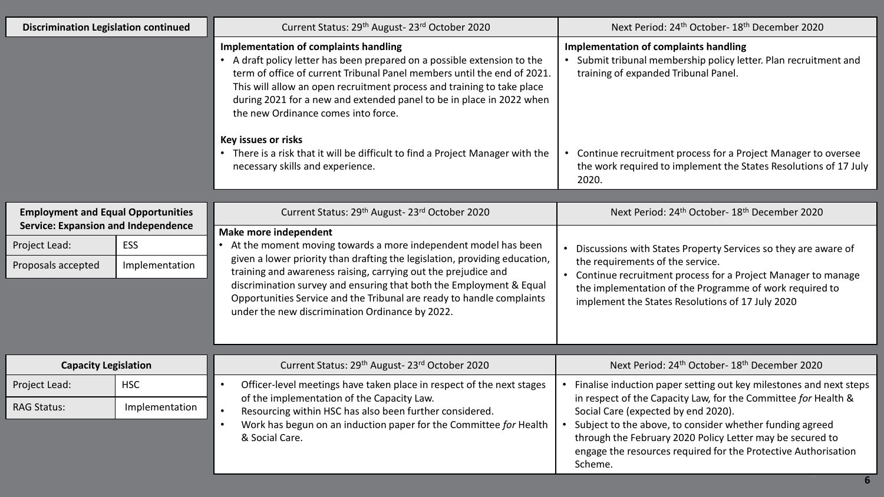| <b>Discrimination Legislation continued</b>                                             |                | Current Status: 29th August-23rd October 2020                                                                                                                                                                                                                                                                                                                                                                       | Next Period: 24 <sup>th</sup> October- 18 <sup>th</sup> December 2020                                                                                                                                             |
|-----------------------------------------------------------------------------------------|----------------|---------------------------------------------------------------------------------------------------------------------------------------------------------------------------------------------------------------------------------------------------------------------------------------------------------------------------------------------------------------------------------------------------------------------|-------------------------------------------------------------------------------------------------------------------------------------------------------------------------------------------------------------------|
|                                                                                         |                | <b>Implementation of complaints handling</b><br>• A draft policy letter has been prepared on a possible extension to the<br>term of office of current Tribunal Panel members until the end of 2021.<br>This will allow an open recruitment process and training to take place<br>during 2021 for a new and extended panel to be in place in 2022 when<br>the new Ordinance comes into force.                        | Implementation of complaints handling<br>• Submit tribunal membership policy letter. Plan recruitment and<br>training of expanded Tribunal Panel.                                                                 |
|                                                                                         |                | <b>Key issues or risks</b><br>• There is a risk that it will be difficult to find a Project Manager with the<br>necessary skills and experience.                                                                                                                                                                                                                                                                    | Continue recruitment process for a Project Manager to oversee<br>the work required to implement the States Resolutions of 17 July<br>2020.                                                                        |
|                                                                                         |                |                                                                                                                                                                                                                                                                                                                                                                                                                     |                                                                                                                                                                                                                   |
| <b>Employment and Equal Opportunities</b><br><b>Service: Expansion and Independence</b> |                | Current Status: 29th August-23rd October 2020                                                                                                                                                                                                                                                                                                                                                                       | Next Period: 24 <sup>th</sup> October- 18 <sup>th</sup> December 2020                                                                                                                                             |
|                                                                                         |                | Make more independent                                                                                                                                                                                                                                                                                                                                                                                               |                                                                                                                                                                                                                   |
| Project Lead:                                                                           | <b>ESS</b>     | • At the moment moving towards a more independent model has been<br>given a lower priority than drafting the legislation, providing education,<br>training and awareness raising, carrying out the prejudice and<br>discrimination survey and ensuring that both the Employment & Equal<br>Opportunities Service and the Tribunal are ready to handle complaints<br>under the new discrimination Ordinance by 2022. | Discussions with States Property Services so they are aware of                                                                                                                                                    |
| Proposals accepted                                                                      | Implementation |                                                                                                                                                                                                                                                                                                                                                                                                                     | the requirements of the service.<br>• Continue recruitment process for a Project Manager to manage<br>the implementation of the Programme of work required to<br>implement the States Resolutions of 17 July 2020 |
|                                                                                         |                |                                                                                                                                                                                                                                                                                                                                                                                                                     |                                                                                                                                                                                                                   |
| <b>Capacity Legislation</b>                                                             |                | Current Status: 29th August-23rd October 2020                                                                                                                                                                                                                                                                                                                                                                       | Next Period: 24 <sup>th</sup> October- 18 <sup>th</sup> December 2020                                                                                                                                             |
| Project Lead:                                                                           | <b>HSC</b>     | Officer-level meetings have taken place in respect of the next stages                                                                                                                                                                                                                                                                                                                                               | Finalise induction paper setting out key milestones and next steps                                                                                                                                                |
| <b>RAG Status:</b>                                                                      | Implementation | of the implementation of the Capacity Law.<br>Resourcing within HSC has also been further considered.<br>$\bullet$                                                                                                                                                                                                                                                                                                  | in respect of the Capacity Law, for the Committee for Health &<br>Social Care (expected by end 2020).                                                                                                             |
|                                                                                         |                | Work has begun on an induction paper for the Committee for Health<br>$\bullet$<br>& Social Care.                                                                                                                                                                                                                                                                                                                    | Subject to the above, to consider whether funding agreed<br>through the February 2020 Policy Letter may be secured to<br>engage the resources required for the Protective Authorisation<br>Scheme.                |